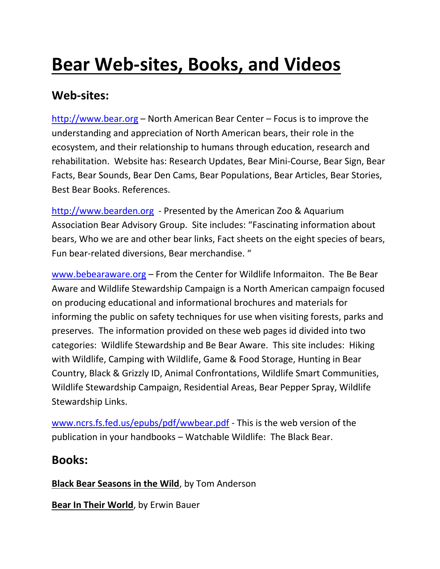## **Bear Web-sites, Books, and Videos**

## **Web-sites:**

[http://www.bear.org](http://www.bear.org/) – North American Bear Center – Focus is to improve the understanding and appreciation of North American bears, their role in the ecosystem, and their relationship to humans through education, research and rehabilitation. Website has: Research Updates, Bear Mini-Course, Bear Sign, Bear Facts, Bear Sounds, Bear Den Cams, Bear Populations, Bear Articles, Bear Stories, Best Bear Books. References.

[http://www.bearden.org](http://www.bearden.org/) - Presented by the American Zoo & Aquarium Association Bear Advisory Group. Site includes: "Fascinating information about bears, Who we are and other bear links, Fact sheets on the eight species of bears, Fun bear-related diversions, Bear merchandise. "

[www.bebearaware.org](http://www.bebearaware.org/) – From the Center for Wildlife Informaiton. The Be Bear Aware and Wildlife Stewardship Campaign is a North American campaign focused on producing educational and informational brochures and materials for informing the public on safety techniques for use when visiting forests, parks and preserves. The information provided on these web pages id divided into two categories: Wildlife Stewardship and Be Bear Aware. This site includes: Hiking with Wildlife, Camping with Wildlife, Game & Food Storage, Hunting in Bear Country, Black & Grizzly ID, Animal Confrontations, Wildlife Smart Communities, Wildlife Stewardship Campaign, Residential Areas, Bear Pepper Spray, Wildlife Stewardship Links.

[www.ncrs.fs.fed.us/epubs/pdf/wwbear.pdf](http://www.ncrs.fs.fed.us/epubs/pdf/wwbear.pdf) - This is the web version of the publication in your handbooks – Watchable Wildlife: The Black Bear.

## **Books:**

**Black Bear Seasons in the Wild**, by Tom Anderson

**Bear In Their World**, by Erwin Bauer